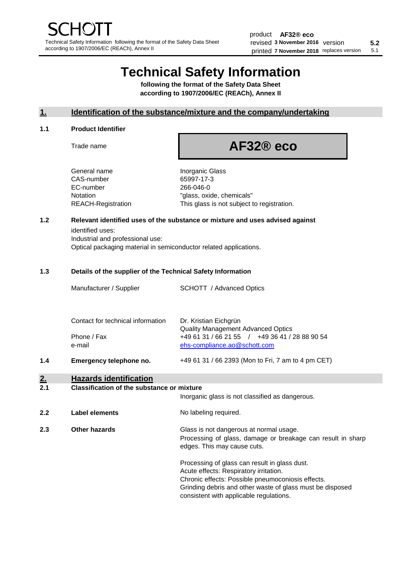# **Technical Safety Information**

**following the format of the Safety Data Sheet according to 1907/2006/EC (REACh), Annex II**

# **1. Identification of the substance/mixture and the company/undertaking**

## **1.1 Product Identifier**

Trade name

# **AF32® eco**

Inorganic Glass 65997-17-3 266-046-0 "glass, oxide, chemicals" This glass is not subject to registration.

# **1.2 Relevant identified uses of the substance or mixture and uses advised against**

identified uses: Industrial and professional use: Optical packaging material in semiconductor related applications.

## **1.3 Details of the supplier of the Technical Safety Information**

| Manufacturer / Supplier           | <b>SCHOTT</b> / Advanced Optics                                    |
|-----------------------------------|--------------------------------------------------------------------|
| Contact for technical information | Dr. Kristian Eichgrün<br><b>Quality Management Advanced Optics</b> |

Phone / Fax +49 61 31 / 66 21 55 / +49 36 41 / 28 88 90 54 e-mail [ehs-compliance.ao@schott.com](mailto:ehs-compliance.ao@schott.com)

**1.4 Emergency telephone no.** +49 61 31 / 66 2393 (Mon to Fri, 7 am to 4 pm CET)

# **2. Hazards identification**

#### **2.1 Classification of the substance or mixture**

|     |                      | Inorganic glass is not classified as dangerous.                                                                                                                                                                                                      |
|-----|----------------------|------------------------------------------------------------------------------------------------------------------------------------------------------------------------------------------------------------------------------------------------------|
| 2.2 | Label elements       | No labeling required.                                                                                                                                                                                                                                |
| 2.3 | <b>Other hazards</b> | Glass is not dangerous at normal usage.<br>Processing of glass, damage or breakage can result in sharp<br>edges. This may cause cuts.                                                                                                                |
|     |                      | Processing of glass can result in glass dust.<br>Acute effects: Respiratory irritation.<br>Chronic effects: Possible pneumoconiosis effects.<br>Grinding debris and other waste of glass must be disposed<br>consistent with applicable regulations. |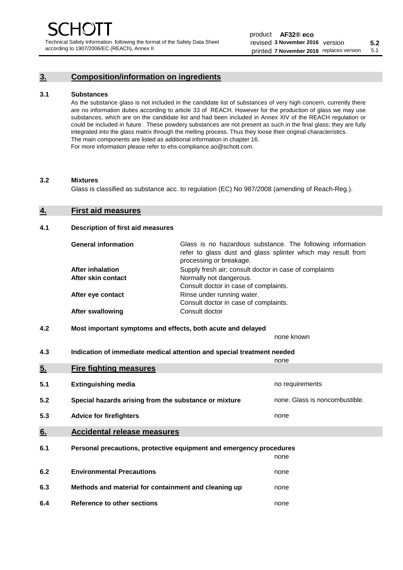## **3. Composition/information on ingredients**

#### **3.1 Substances**

As the substance glass is not included in the candidate list of substances of very high concern, currently there are no information duties according to article 33 of REACH. However for the production of glass we may use substances, which are on the candidate list and had been included in Annex XIV of the REACH regulation or could be included in future . These powdery substances are not present as such in the final glass; they are fully integrated into the glass matrix through the melting process. Thus they loose their original characteristics. The main components are listed as additional information in chapter 16. For more information please refer to ehs-compliance.ao@schott.com.

#### **3.2 Mixtures**

Glass is classified as substance acc. to regulation (EC) No 987/2008 (amending of Reach-Reg.).

# **4. First aid measures**

# **4.1 Description of first aid measures**

| <b>General information</b> | Glass is no hazardous substance. The following information<br>refer to glass dust and glass splinter which may result from<br>processing or breakage. |
|----------------------------|-------------------------------------------------------------------------------------------------------------------------------------------------------|
| <b>After inhalation</b>    | Supply fresh air; consult doctor in case of complaints                                                                                                |
| After skin contact         | Normally not dangerous.                                                                                                                               |
|                            | Consult doctor in case of complaints.                                                                                                                 |
| After eye contact          | Rinse under running water.                                                                                                                            |
|                            | Consult doctor in case of complaints.                                                                                                                 |
| <b>After swallowing</b>    | Consult doctor                                                                                                                                        |

**4.2 Most important symptoms and effects, both acute and delayed**

|                  |                                                                                                                                | none known                     |
|------------------|--------------------------------------------------------------------------------------------------------------------------------|--------------------------------|
| 4.3              | Indication of immediate medical attention and special treatment needed                                                         |                                |
|                  |                                                                                                                                | none                           |
| 5.               | <b>Fire fighting measures</b>                                                                                                  |                                |
|                  |                                                                                                                                |                                |
| 5.1              | <b>Extinguishing media</b>                                                                                                     | no requirements                |
|                  |                                                                                                                                |                                |
| 5.2              | Special hazards arising from the substance or mixture                                                                          | none. Glass is noncombustible. |
| 5.3              | <b>Advice for firefighters</b>                                                                                                 | none                           |
|                  |                                                                                                                                |                                |
|                  |                                                                                                                                |                                |
|                  |                                                                                                                                |                                |
| 6.1              | Personal precautions, protective equipment and emergency procedures                                                            |                                |
|                  |                                                                                                                                | none                           |
|                  |                                                                                                                                |                                |
|                  |                                                                                                                                |                                |
|                  |                                                                                                                                |                                |
|                  |                                                                                                                                |                                |
| 6.4              | Reference to other sections                                                                                                    | none                           |
| 6.<br>6.2<br>6.3 | <b>Accidental release measures</b><br><b>Environmental Precautions</b><br>Methods and material for containment and cleaning up | none<br>none                   |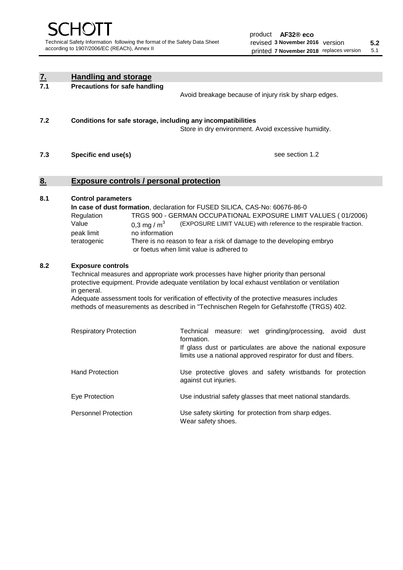| $\underline{7}$ . | <b>Handling and storage</b>                                                                                                                                                                                                                                                                                                                                                                                                    |                                                                                                                                                                                                                                                                                                                                         |  |  |  |
|-------------------|--------------------------------------------------------------------------------------------------------------------------------------------------------------------------------------------------------------------------------------------------------------------------------------------------------------------------------------------------------------------------------------------------------------------------------|-----------------------------------------------------------------------------------------------------------------------------------------------------------------------------------------------------------------------------------------------------------------------------------------------------------------------------------------|--|--|--|
| 7.1               | <b>Precautions for safe handling</b>                                                                                                                                                                                                                                                                                                                                                                                           | Avoid breakage because of injury risk by sharp edges.                                                                                                                                                                                                                                                                                   |  |  |  |
| 7.2               | Conditions for safe storage, including any incompatibilities                                                                                                                                                                                                                                                                                                                                                                   | Store in dry environment. Avoid excessive humidity.                                                                                                                                                                                                                                                                                     |  |  |  |
| 7.3               | Specific end use(s)                                                                                                                                                                                                                                                                                                                                                                                                            | see section 1.2                                                                                                                                                                                                                                                                                                                         |  |  |  |
| 8.                | <b>Exposure controls / personal protection</b>                                                                                                                                                                                                                                                                                                                                                                                 |                                                                                                                                                                                                                                                                                                                                         |  |  |  |
| 8.1               | <b>Control parameters</b><br>Regulation<br>Value<br>0,3 mg / $m3$<br>no information<br>peak limit<br>teratogenic                                                                                                                                                                                                                                                                                                               | In case of dust formation, declaration for FUSED SILICA, CAS-No: 60676-86-0<br>TRGS 900 - GERMAN OCCUPATIONAL EXPOSURE LIMIT VALUES ( 01/2006)<br>(EXPOSURE LIMIT VALUE) with reference to the respirable fraction.<br>There is no reason to fear a risk of damage to the developing embryo<br>or foetus when limit value is adhered to |  |  |  |
| 8.2               | <b>Exposure controls</b><br>Technical measures and appropriate work processes have higher priority than personal<br>protective equipment. Provide adequate ventilation by local exhaust ventilation or ventilation<br>in general.<br>Adequate assessment tools for verification of effectivity of the protective measures includes<br>methods of measurements as described in "Technischen Regeln for Gefahrstoffe (TRGS) 402. |                                                                                                                                                                                                                                                                                                                                         |  |  |  |
|                   | <b>Respiratory Protection</b>                                                                                                                                                                                                                                                                                                                                                                                                  | Technical<br>measure: wet grinding/processing, avoid dust<br>formation.<br>If glass dust or particulates are above the national exposure<br>limits use a national approved respirator for dust and fibers.                                                                                                                              |  |  |  |
|                   | <b>Hand Protection</b>                                                                                                                                                                                                                                                                                                                                                                                                         | Use protective gloves and safety wristbands for protection<br>against cut injuries.                                                                                                                                                                                                                                                     |  |  |  |
|                   | Eye Protection                                                                                                                                                                                                                                                                                                                                                                                                                 | Use industrial safety glasses that meet national standards.                                                                                                                                                                                                                                                                             |  |  |  |
|                   | <b>Personnel Protection</b>                                                                                                                                                                                                                                                                                                                                                                                                    | Use safety skirting for protection from sharp edges.<br>Wear safety shoes.                                                                                                                                                                                                                                                              |  |  |  |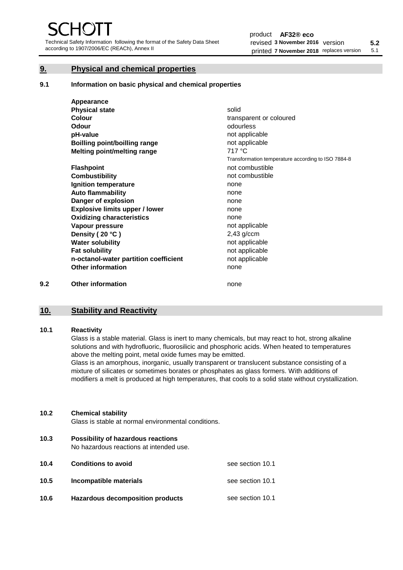Technical Safety Information following the format of the Safety Data Sheet according to 1907/2006/EC (REACh), Annex II

# **9. Physical and chemical properties**

**9.1 Information on basic physical and chemical properties**

|     | Appearance                            |                                                    |
|-----|---------------------------------------|----------------------------------------------------|
|     | <b>Physical state</b>                 | solid                                              |
|     | <b>Colour</b>                         | transparent or coloured                            |
|     | Odour                                 | odourless                                          |
|     | pH-value                              | not applicable                                     |
|     | <b>Boilling point/boilling range</b>  | not applicable                                     |
|     | Melting point/melting range           | 717 °C                                             |
|     |                                       | Transformation temperature according to ISO 7884-8 |
|     | <b>Flashpoint</b>                     | not combustible                                    |
|     | <b>Combustibility</b>                 | not combustible                                    |
|     | Ignition temperature                  | none                                               |
|     | <b>Auto flammability</b>              | none                                               |
|     | Danger of explosion                   | none                                               |
|     | <b>Explosive limits upper / lower</b> | none                                               |
|     | <b>Oxidizing characteristics</b>      | none                                               |
|     | Vapour pressure                       | not applicable                                     |
|     | Density (20 °C)                       | $2,43$ g/ccm                                       |
|     | <b>Water solubility</b>               | not applicable                                     |
|     | <b>Fat solubility</b>                 | not applicable                                     |
|     | n-octanol-water partition coefficient | not applicable                                     |
|     | <b>Other information</b>              | none                                               |
| 9.2 | <b>Other information</b>              | none                                               |

# **10. Stability and Reactivity**

# **10.1 Reactivity**

Glass is a stable material. Glass is inert to many chemicals, but may react to hot, strong alkaline solutions and with hydrofluoric, fluorosilicic and phosphoric acids. When heated to temperatures above the melting point, metal oxide fumes may be emitted.

Glass is an amorphous, inorganic, usually transparent or translucent substance consisting of a mixture of silicates or sometimes borates or phosphates as glass formers. With additions of modifiers a melt is produced at high temperatures, that cools to a solid state without crystallization.

## **10.2 Chemical stability**

Glass is stable at normal environmental conditions.

**10.3 Possibility of hazardous reactions**  No hazardous reactions at intended use.

| 10.4 | <b>Conditions to avoid</b>       | see section 10.1 |
|------|----------------------------------|------------------|
| 10.5 | Incompatible materials           | see section 10.1 |
| 10.6 | Hazardous decomposition products | see section 10.1 |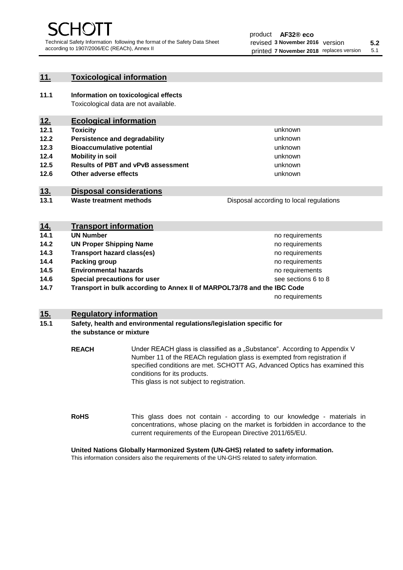## **11. Toxicological information**

**11.1 Information on toxicological effects** Toxicological data are not available.

# **12. Ecological information**

**12.1 Toxicity**

**14. Transport information**

**14.5 Environmental hazards**

- **12.2 Persistence and degradability**
- **12.3 Bioaccumulative potential**
- **12.4 Mobility in soil**
- **12.5 Results of PBT and vPvB assessment**
- **12.6 Other adverse effects**

# **13. Disposal considerations**

**13.1 Waste treatment methods**

| <u>14.</u> | <b>Transport information</b>      |                     |
|------------|-----------------------------------|---------------------|
| 14.1       | <b>UN Number</b>                  | no requirements     |
| 14.2       | <b>UN Proper Shipping Name</b>    | no requirements     |
| 14.3       | <b>Transport hazard class(es)</b> | no requirements     |
| 14.4       | <b>Packing group</b>              | no requirements     |
| 14.5       | <b>Environmental hazards</b>      | no requirements     |
| 14.6       | Special precautions for user      | see sections 6 to 8 |

**14.7 Transport in bulk according to Annex II of MARPOL73/78 and the IBC Code**

no requirements

unknown unknown unknown

unknown unknown unknown

Disposal according to local regulations

# **15. Regulatory information**

# **15.1 Safety, health and environmental regulations/legislation specific for the substance or mixture**

**REACH** Under REACH glass is classified as a "Substance". According to Appendix V Number 11 of the REACh regulation glass is exempted from registration if specified conditions are met. SCHOTT AG, Advanced Optics has examined this conditions for its products. This glass is not subject to registration.

**RoHS** This glass does not contain - according to our knowledge - materials in concentrations, whose placing on the market is forbidden in accordance to the current requirements of the European Directive 2011/65/EU.

# **United Nations Globally Harmonized System (UN-GHS) related to safety information.**

This information considers also the requirements of the UN-GHS related to safety information.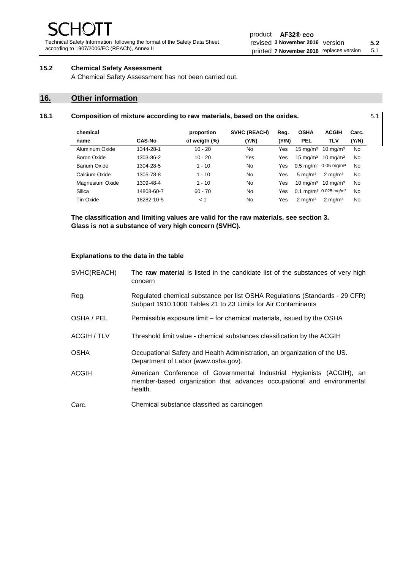Technical Safety Information following the format of the Safety Data Sheet according to 1907/2006/EC (REACh), Annex II

# **15.2 Chemical Safety Assessment**

A Chemical Safety Assessment has not been carried out.

# **16. Other information**

l.

#### **16.1 Composition of mixture according to raw materials, based on the oxides.** 5.1

| chemical        |               | proportion    | <b>SVHC (REACH)</b> | Reg.       | <b>OSHA</b>         | <b>ACGIH</b>                                 | Carc.     |
|-----------------|---------------|---------------|---------------------|------------|---------------------|----------------------------------------------|-----------|
| name            | <b>CAS-No</b> | of weigth (%) | (Y/N)               | (Y/N)      | <b>PEL</b>          | <b>TLV</b>                                   | (Y/N)     |
| Aluminum Oxide  | 1344-28-1     | $10 - 20$     | No.                 | Yes        | $15 \text{ mg/m}^3$ | $10 \text{ mg/m}^3$                          | No        |
| Boron Oxide     | 1303-86-2     | $10 - 20$     | Yes                 | Yes        | $15 \text{ ma/m}^3$ | $10 \text{ mg/m}^3$                          | No        |
| Barium Oxide    | 1304-28-5     | $1 - 10$      | No.                 | Yes        |                     | $0.5 \text{ mg/m}^3$ 0.05 mg/m <sup>3</sup>  | No        |
| Calcium Oxide   | 1305-78-8     | $1 - 10$      | No.                 | Yes        | $5 \text{ mg/m}^3$  | $2 \text{ mg/m}^3$                           | No        |
| Magnesium Oxide | 1309-48-4     | $1 - 10$      | No                  | Yes        | $10 \text{ mg/m}^3$ | $10 \text{ ma/m}^3$                          | No        |
| Silica          | 14808-60-7    | $60 - 70$     | No                  | <b>Yes</b> |                     | $0.1 \text{ mg/m}^3$ 0.025 mg/m <sup>3</sup> | <b>No</b> |
| Tin Oxide       | 18282-10-5    | < 1           | No                  | Yes        | $2 \text{ ma/m}^3$  | $2 \text{ mg/m}^3$                           | No        |

**The classification and limiting values are valid for the raw materials, see section 3. Glass is not a substance of very high concern (SVHC).**

#### **Explanations to the data in the table**

| SVHC(REACH) | The raw material is listed in the candidate list of the substances of very high<br>concern                                                                 |
|-------------|------------------------------------------------------------------------------------------------------------------------------------------------------------|
| Reg.        | Regulated chemical substance per list OSHA Regulations (Standards - 29 CFR)<br>Subpart 1910.1000 Tables Z1 to Z3 Limits for Air Contaminants               |
| OSHA / PEL  | Permissible exposure limit - for chemical materials, issued by the OSHA                                                                                    |
| ACGIH / TLV | Threshold limit value - chemical substances classification by the ACGIH                                                                                    |
| <b>OSHA</b> | Occupational Safety and Health Administration, an organization of the US.<br>Department of Labor (www.osha.gov).                                           |
| ACGIH       | American Conference of Governmental Industrial Hygienists (ACGIH), an<br>member-based organization that advances occupational and environmental<br>health. |
| Carc.       | Chemical substance classified as carcinogen                                                                                                                |